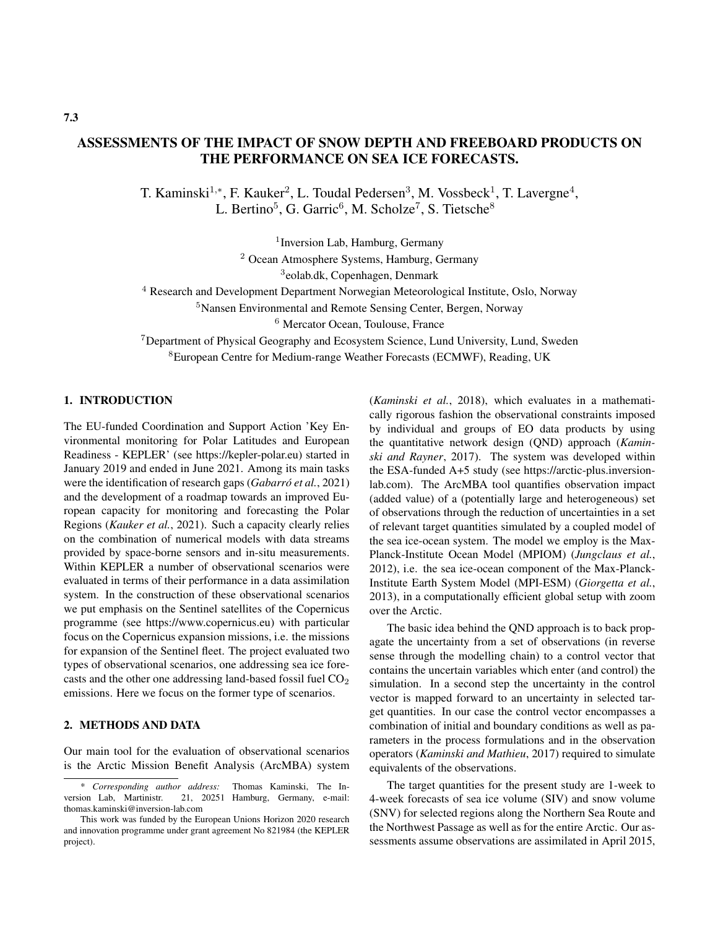## ASSESSMENTS OF THE IMPACT OF SNOW DEPTH AND FREEBOARD PRODUCTS ON THE PERFORMANCE ON SEA ICE FORECASTS.

T. Kaminski<sup>1,\*</sup>, F. Kauker<sup>2</sup>, L. Toudal Pedersen<sup>3</sup>, M. Vossbeck<sup>1</sup>, T. Lavergne<sup>4</sup>, L. Bertino<sup>5</sup>, G. Garric<sup>6</sup>, M. Scholze<sup>7</sup>, S. Tietsche<sup>8</sup>

<sup>1</sup> Inversion Lab, Hamburg, Germany

<sup>2</sup> Ocean Atmosphere Systems, Hamburg, Germany

3 eolab.dk, Copenhagen, Denmark

<sup>4</sup> Research and Development Department Norwegian Meteorological Institute, Oslo, Norway

<sup>5</sup>Nansen Environmental and Remote Sensing Center, Bergen, Norway

<sup>6</sup> Mercator Ocean, Toulouse, France

<sup>7</sup>Department of Physical Geography and Ecosystem Science, Lund University, Lund, Sweden <sup>8</sup>European Centre for Medium-range Weather Forecasts (ECMWF), Reading, UK

## 1. INTRODUCTION

The EU-funded Coordination and Support Action 'Key Environmental monitoring for Polar Latitudes and European Readiness - KEPLER' (see https://kepler-polar.eu) started in January 2019 and ended in June 2021. Among its main tasks were the identification of research gaps (*Gabarró et al.*, 2021) and the development of a roadmap towards an improved European capacity for monitoring and forecasting the Polar Regions (*Kauker et al.*, 2021). Such a capacity clearly relies on the combination of numerical models with data streams provided by space-borne sensors and in-situ measurements. Within KEPLER a number of observational scenarios were evaluated in terms of their performance in a data assimilation system. In the construction of these observational scenarios we put emphasis on the Sentinel satellites of the Copernicus programme (see https://www.copernicus.eu) with particular focus on the Copernicus expansion missions, i.e. the missions for expansion of the Sentinel fleet. The project evaluated two types of observational scenarios, one addressing sea ice forecasts and the other one addressing land-based fossil fuel  $CO<sub>2</sub>$ emissions. Here we focus on the former type of scenarios.

## 2. METHODS AND DATA

Our main tool for the evaluation of observational scenarios is the Arctic Mission Benefit Analysis (ArcMBA) system (*Kaminski et al.*, 2018), which evaluates in a mathematically rigorous fashion the observational constraints imposed by individual and groups of EO data products by using the quantitative network design (QND) approach (*Kaminski and Rayner*, 2017). The system was developed within the ESA-funded A+5 study (see https://arctic-plus.inversionlab.com). The ArcMBA tool quantifies observation impact (added value) of a (potentially large and heterogeneous) set of observations through the reduction of uncertainties in a set of relevant target quantities simulated by a coupled model of the sea ice-ocean system. The model we employ is the Max-Planck-Institute Ocean Model (MPIOM) (*Jungclaus et al.*, 2012), i.e. the sea ice-ocean component of the Max-Planck-Institute Earth System Model (MPI-ESM) (*Giorgetta et al.*, 2013), in a computationally efficient global setup with zoom over the Arctic.

The basic idea behind the QND approach is to back propagate the uncertainty from a set of observations (in reverse sense through the modelling chain) to a control vector that contains the uncertain variables which enter (and control) the simulation. In a second step the uncertainty in the control vector is mapped forward to an uncertainty in selected target quantities. In our case the control vector encompasses a combination of initial and boundary conditions as well as parameters in the process formulations and in the observation operators (*Kaminski and Mathieu*, 2017) required to simulate equivalents of the observations.

The target quantities for the present study are 1-week to 4-week forecasts of sea ice volume (SIV) and snow volume (SNV) for selected regions along the Northern Sea Route and the Northwest Passage as well as for the entire Arctic. Our assessments assume observations are assimilated in April 2015,

<sup>\*</sup> *Corresponding author address:* Thomas Kaminski, The Inversion Lab, Martinistr. 21, 20251 Hamburg, Germany, e-mail: thomas.kaminski@inversion-lab.com

This work was funded by the European Unions Horizon 2020 research and innovation programme under grant agreement No 821984 (the KEPLER project).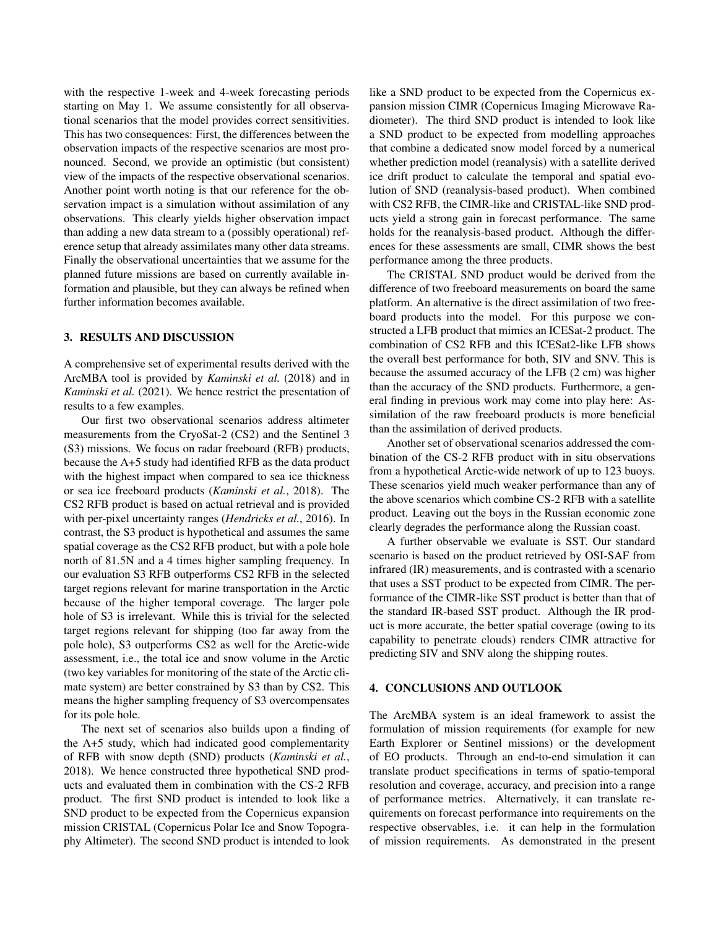with the respective 1-week and 4-week forecasting periods starting on May 1. We assume consistently for all observational scenarios that the model provides correct sensitivities. This has two consequences: First, the differences between the observation impacts of the respective scenarios are most pronounced. Second, we provide an optimistic (but consistent) view of the impacts of the respective observational scenarios. Another point worth noting is that our reference for the observation impact is a simulation without assimilation of any observations. This clearly yields higher observation impact than adding a new data stream to a (possibly operational) reference setup that already assimilates many other data streams. Finally the observational uncertainties that we assume for the planned future missions are based on currently available information and plausible, but they can always be refined when further information becomes available.

#### 3. RESULTS AND DISCUSSION

A comprehensive set of experimental results derived with the ArcMBA tool is provided by *Kaminski et al.* (2018) and in *Kaminski et al.* (2021). We hence restrict the presentation of results to a few examples.

Our first two observational scenarios address altimeter measurements from the CryoSat-2 (CS2) and the Sentinel 3 (S3) missions. We focus on radar freeboard (RFB) products, because the A+5 study had identified RFB as the data product with the highest impact when compared to sea ice thickness or sea ice freeboard products (*Kaminski et al.*, 2018). The CS2 RFB product is based on actual retrieval and is provided with per-pixel uncertainty ranges (*Hendricks et al.*, 2016). In contrast, the S3 product is hypothetical and assumes the same spatial coverage as the CS2 RFB product, but with a pole hole north of 81.5N and a 4 times higher sampling frequency. In our evaluation S3 RFB outperforms CS2 RFB in the selected target regions relevant for marine transportation in the Arctic because of the higher temporal coverage. The larger pole hole of S3 is irrelevant. While this is trivial for the selected target regions relevant for shipping (too far away from the pole hole), S3 outperforms CS2 as well for the Arctic-wide assessment, i.e., the total ice and snow volume in the Arctic (two key variables for monitoring of the state of the Arctic climate system) are better constrained by S3 than by CS2. This means the higher sampling frequency of S3 overcompensates for its pole hole.

The next set of scenarios also builds upon a finding of the A+5 study, which had indicated good complementarity of RFB with snow depth (SND) products (*Kaminski et al.*, 2018). We hence constructed three hypothetical SND products and evaluated them in combination with the CS-2 RFB product. The first SND product is intended to look like a SND product to be expected from the Copernicus expansion mission CRISTAL (Copernicus Polar Ice and Snow Topography Altimeter). The second SND product is intended to look like a SND product to be expected from the Copernicus expansion mission CIMR (Copernicus Imaging Microwave Radiometer). The third SND product is intended to look like a SND product to be expected from modelling approaches that combine a dedicated snow model forced by a numerical whether prediction model (reanalysis) with a satellite derived ice drift product to calculate the temporal and spatial evolution of SND (reanalysis-based product). When combined with CS2 RFB, the CIMR-like and CRISTAL-like SND products yield a strong gain in forecast performance. The same holds for the reanalysis-based product. Although the differences for these assessments are small, CIMR shows the best performance among the three products.

The CRISTAL SND product would be derived from the difference of two freeboard measurements on board the same platform. An alternative is the direct assimilation of two freeboard products into the model. For this purpose we constructed a LFB product that mimics an ICESat-2 product. The combination of CS2 RFB and this ICESat2-like LFB shows the overall best performance for both, SIV and SNV. This is because the assumed accuracy of the LFB (2 cm) was higher than the accuracy of the SND products. Furthermore, a general finding in previous work may come into play here: Assimilation of the raw freeboard products is more beneficial than the assimilation of derived products.

Another set of observational scenarios addressed the combination of the CS-2 RFB product with in situ observations from a hypothetical Arctic-wide network of up to 123 buoys. These scenarios yield much weaker performance than any of the above scenarios which combine CS-2 RFB with a satellite product. Leaving out the boys in the Russian economic zone clearly degrades the performance along the Russian coast.

A further observable we evaluate is SST. Our standard scenario is based on the product retrieved by OSI-SAF from infrared (IR) measurements, and is contrasted with a scenario that uses a SST product to be expected from CIMR. The performance of the CIMR-like SST product is better than that of the standard IR-based SST product. Although the IR product is more accurate, the better spatial coverage (owing to its capability to penetrate clouds) renders CIMR attractive for predicting SIV and SNV along the shipping routes.

### 4. CONCLUSIONS AND OUTLOOK

The ArcMBA system is an ideal framework to assist the formulation of mission requirements (for example for new Earth Explorer or Sentinel missions) or the development of EO products. Through an end-to-end simulation it can translate product specifications in terms of spatio-temporal resolution and coverage, accuracy, and precision into a range of performance metrics. Alternatively, it can translate requirements on forecast performance into requirements on the respective observables, i.e. it can help in the formulation of mission requirements. As demonstrated in the present